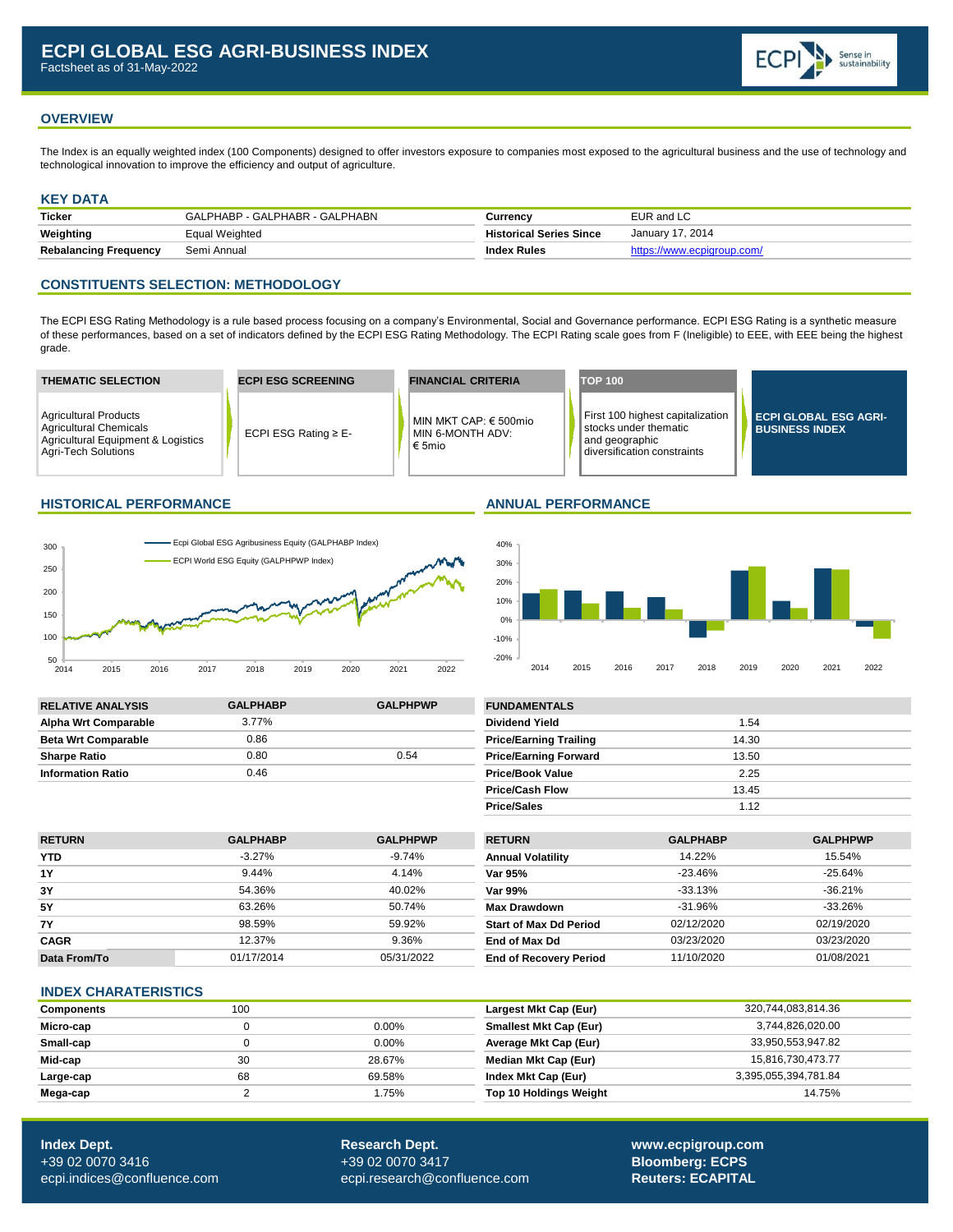

## **OVERVIEW**

The Index is an equally weighted index (100 Components) designed to offer investors exposure to companies most exposed to the agricultural business and the use of technology and technological innovation to improve the efficiency and output of agriculture.

### **KEY DATA**

| <b>Ticker</b>                | GALPHABP - GALPHABR - GALPHABN | Currency                       | EUR and LC                 |
|------------------------------|--------------------------------|--------------------------------|----------------------------|
| Weighting                    | Equal Weighted                 | <b>Historical Series Since</b> | January 17, 2014           |
| <b>Rebalancing Frequency</b> | Semi Annual                    | <b>Index Rules</b>             | https://www.ecpigroup.com/ |

## **CONSTITUENTS SELECTION: METHODOLOGY**

The ECPI ESG Rating Methodology is a rule based process focusing on a company's Environmental, Social and Governance performance. ECPI ESG Rating is a synthetic measure of these performances, based on a set of indicators defined by the ECPI ESG Rating Methodology. The ECPI Rating scale goes from F (Ineligible) to EEE, with EEE being the highest grade.



### **HISTORICAL PERFORMANCE ANNUAL PERFORMANCE**





| <b>RELATIVE ANALYSIS</b>    | <b>GALPHABP</b> | <b>GALPHPWP</b> | <b>FUNDAMENTALS</b>           |       |
|-----------------------------|-----------------|-----------------|-------------------------------|-------|
| <b>Alpha Wrt Comparable</b> | 3.77%           |                 | Dividend Yield                | 1.54  |
| <b>Beta Wrt Comparable</b>  | 0.86            |                 | <b>Price/Earning Trailing</b> | 14.30 |
| <b>Sharpe Ratio</b>         | 0.80            | 0.54            | <b>Price/Earning Forward</b>  | 13.50 |
| <b>Information Ratio</b>    | 0.46            |                 | <b>Price/Book Value</b>       | 2.25  |

| <b>FUNDAMENTALS</b>           |       |  |
|-------------------------------|-------|--|
| <b>Dividend Yield</b>         | 1.54  |  |
| <b>Price/Earning Trailing</b> | 14.30 |  |
| <b>Price/Earning Forward</b>  | 13.50 |  |
| <b>Price/Book Value</b>       | 2.25  |  |
| <b>Price/Cash Flow</b>        | 13.45 |  |
| <b>Price/Sales</b>            | 1.12  |  |

| <b>RETURN</b> | <b>GALPHABP</b> | <b>GALPHPWP</b> | <b>RETURN</b>                 | <b>GALPHABP</b> | <b>GALPHPWP</b> |
|---------------|-----------------|-----------------|-------------------------------|-----------------|-----------------|
| <b>YTD</b>    | $-3.27%$        | $-9.74%$        | <b>Annual Volatility</b>      | 14.22%          | 15.54%          |
| 1Y            | 9.44%           | 4.14%           | Var 95%                       | $-23.46\%$      | $-25.64%$       |
| 3Y            | 54.36%          | 40.02%          | Var 99%                       | -33.13%         | $-36.21%$       |
| <b>5Y</b>     | 63.26%          | 50.74%          | <b>Max Drawdown</b>           | $-31.96\%$      | $-33.26%$       |
| <b>7Y</b>     | 98.59%          | 59.92%          | <b>Start of Max Dd Period</b> | 02/12/2020      | 02/19/2020      |
| <b>CAGR</b>   | 12.37%          | 9.36%           | End of Max Dd                 | 03/23/2020      | 03/23/2020      |
| Data From/To  | 01/17/2014      | 05/31/2022      | <b>End of Recovery Period</b> | 11/10/2020      | 01/08/2021      |

### **INDEX CHARATERISTICS**

| <b>Components</b> | 100 |          | Largest Mkt Cap (Eur)         | 320,744,083,814.36   |
|-------------------|-----|----------|-------------------------------|----------------------|
| Micro-cap         |     | $0.00\%$ | <b>Smallest Mkt Cap (Eur)</b> | 3,744,826,020.00     |
| Small-cap         |     | $0.00\%$ | Average Mkt Cap (Eur)         | 33,950,553,947.82    |
| Mid-cap           | 30  | 28.67%   | Median Mkt Cap (Eur)          | 15,816,730,473.77    |
| Large-cap         | 68  | 69.58%   | Index Mkt Cap (Eur)           | 3.395.055.394.781.84 |
| Mega-cap          |     | 1.75%    | <b>Top 10 Holdings Weight</b> | 14.75%               |

**Index Dept. Research Dept. [www.ecpigroup.com](http://www.ecpigroup.com/)**  +39 02 0070 3416 +39 02 0070 3417 **Bloomberg: ECPS** [ecpi.indices@confluence.com](mailto:ecpi.indices@cofluence.com) [ecpi.research@confluence.com](mailto:research@statpro.com) **Reuters: ECAPITAL**